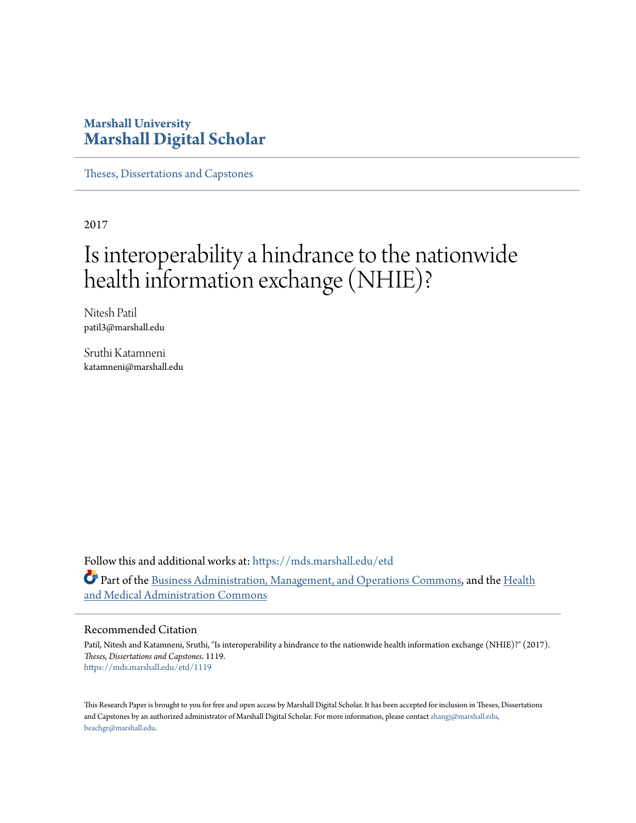### **Marshall University [Marshall Digital Scholar](https://mds.marshall.edu?utm_source=mds.marshall.edu%2Fetd%2F1119&utm_medium=PDF&utm_campaign=PDFCoverPages)**

[Theses, Dissertations and Capstones](https://mds.marshall.edu/etd?utm_source=mds.marshall.edu%2Fetd%2F1119&utm_medium=PDF&utm_campaign=PDFCoverPages)

2017

# Is interoperability a hindrance to the nationwide health information exchange (NHIE)?

Nitesh Patil patil3@marshall.edu

Sruthi Katamneni katamneni@marshall.edu

Follow this and additional works at: [https://mds.marshall.edu/etd](https://mds.marshall.edu/etd?utm_source=mds.marshall.edu%2Fetd%2F1119&utm_medium=PDF&utm_campaign=PDFCoverPages) Part of the [Business Administration, Management, and Operations Commons](http://network.bepress.com/hgg/discipline/623?utm_source=mds.marshall.edu%2Fetd%2F1119&utm_medium=PDF&utm_campaign=PDFCoverPages), and the [Health](http://network.bepress.com/hgg/discipline/663?utm_source=mds.marshall.edu%2Fetd%2F1119&utm_medium=PDF&utm_campaign=PDFCoverPages) [and Medical Administration Commons](http://network.bepress.com/hgg/discipline/663?utm_source=mds.marshall.edu%2Fetd%2F1119&utm_medium=PDF&utm_campaign=PDFCoverPages)

#### Recommended Citation

Patil, Nitesh and Katamneni, Sruthi, "Is interoperability a hindrance to the nationwide health information exchange (NHIE)?" (2017). *Theses, Dissertations and Capstones*. 1119. [https://mds.marshall.edu/etd/1119](https://mds.marshall.edu/etd/1119?utm_source=mds.marshall.edu%2Fetd%2F1119&utm_medium=PDF&utm_campaign=PDFCoverPages)

This Research Paper is brought to you for free and open access by Marshall Digital Scholar. It has been accepted for inclusion in Theses, Dissertations and Capstones by an authorized administrator of Marshall Digital Scholar. For more information, please contact [zhangj@marshall.edu,](mailto:zhangj@marshall.edu,%20beachgr@marshall.edu) [beachgr@marshall.edu](mailto:zhangj@marshall.edu,%20beachgr@marshall.edu).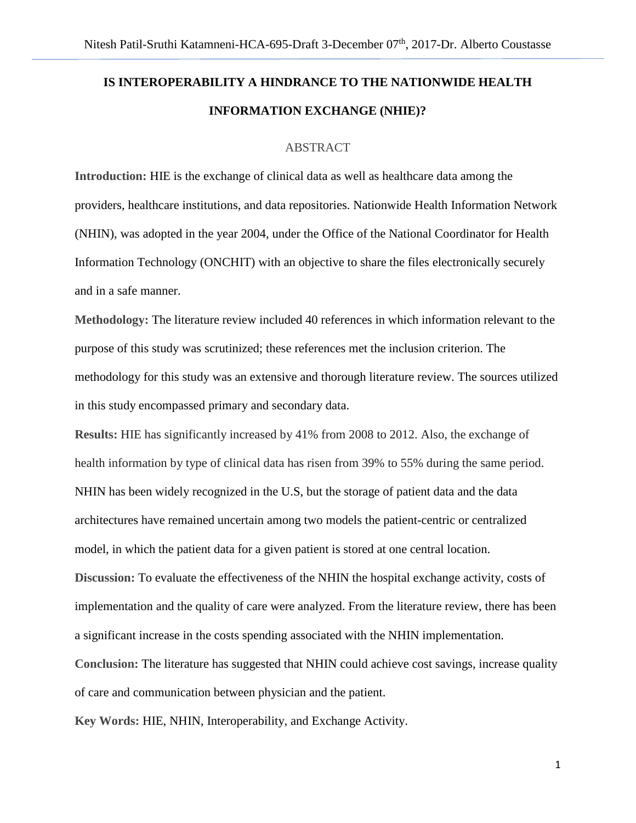## **IS INTEROPERABILITY A HINDRANCE TO THE NATIONWIDE HEALTH INFORMATION EXCHANGE (NHIE)?**

#### ABSTRACT

**Introduction:** HIE is the exchange of clinical data as well as healthcare data among the providers, healthcare institutions, and data repositories. Nationwide Health Information Network (NHIN), was adopted in the year 2004, under the Office of the National Coordinator for Health Information Technology (ONCHIT) with an objective to share the files electronically securely and in a safe manner.

**Methodology:** The literature review included 40 references in which information relevant to the purpose of this study was scrutinized; these references met the inclusion criterion. The methodology for this study was an extensive and thorough literature review. The sources utilized in this study encompassed primary and secondary data.

**Results:** HIE has significantly increased by 41% from 2008 to 2012. Also, the exchange of health information by type of clinical data has risen from 39% to 55% during the same period. NHIN has been widely recognized in the U.S, but the storage of patient data and the data architectures have remained uncertain among two models the patient-centric or centralized model, in which the patient data for a given patient is stored at one central location. **Discussion:** To evaluate the effectiveness of the NHIN the hospital exchange activity, costs of implementation and the quality of care were analyzed. From the literature review, there has been a significant increase in the costs spending associated with the NHIN implementation.

**Conclusion:** The literature has suggested that NHIN could achieve cost savings, increase quality of care and communication between physician and the patient.

**Key Words:** HIE, NHIN, Interoperability, and Exchange Activity.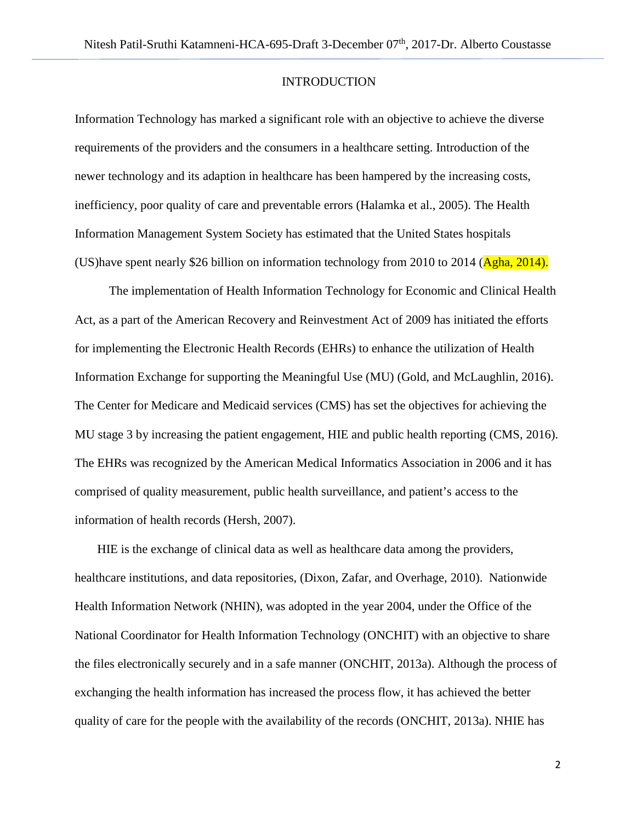#### **INTRODUCTION**

Information Technology has marked a significant role with an objective to achieve the diverse requirements of the providers and the consumers in a healthcare setting. Introduction of the newer technology and its adaption in healthcare has been hampered by the increasing costs, inefficiency, poor quality of care and preventable errors (Halamka et al., 2005). The Health Information Management System Society has estimated that the United States hospitals (US)have spent nearly \$26 billion on information technology from 2010 to 2014 ( $\overline{\text{Agha}}$ , 2014).

 The implementation of Health Information Technology for Economic and Clinical Health Act, as a part of the American Recovery and Reinvestment Act of 2009 has initiated the efforts for implementing the Electronic Health Records (EHRs) to enhance the utilization of Health Information Exchange for supporting the Meaningful Use (MU) (Gold, and McLaughlin, 2016). The Center for Medicare and Medicaid services (CMS) has set the objectives for achieving the MU stage 3 by increasing the patient engagement, HIE and public health reporting (CMS, 2016). The EHRs was recognized by the American Medical Informatics Association in 2006 and it has comprised of quality measurement, public health surveillance, and patient's access to the information of health records (Hersh, 2007).

HIE is the exchange of clinical data as well as healthcare data among the providers, healthcare institutions, and data repositories, (Dixon, Zafar, and Overhage, 2010). Nationwide Health Information Network (NHIN), was adopted in the year 2004, under the Office of the National Coordinator for Health Information Technology (ONCHIT) with an objective to share the files electronically securely and in a safe manner (ONCHIT, 2013a). Although the process of exchanging the health information has increased the process flow, it has achieved the better quality of care for the people with the availability of the records (ONCHIT, 2013a). NHIE has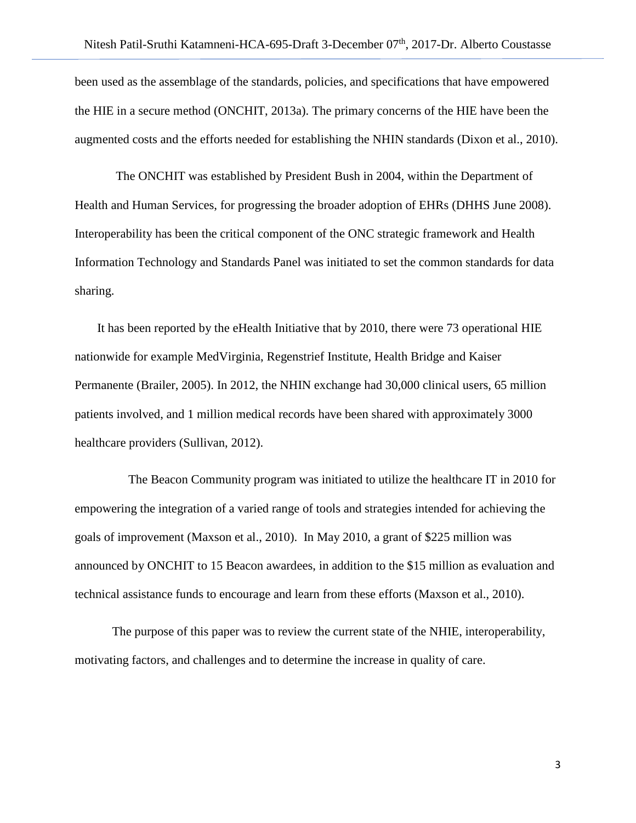been used as the assemblage of the standards, policies, and specifications that have empowered the HIE in a secure method (ONCHIT, 2013a). The primary concerns of the HIE have been the augmented costs and the efforts needed for establishing the NHIN standards (Dixon et al., 2010).

 The ONCHIT was established by President Bush in 2004, within the Department of Health and Human Services, for progressing the broader adoption of EHRs (DHHS June 2008). Interoperability has been the critical component of the ONC strategic framework and Health Information Technology and Standards Panel was initiated to set the common standards for data sharing.

It has been reported by the eHealth Initiative that by 2010, there were 73 operational HIE nationwide for example MedVirginia, Regenstrief Institute, Health Bridge and Kaiser Permanente (Brailer, 2005). In 2012, the NHIN exchange had 30,000 clinical users, 65 million patients involved, and 1 million medical records have been shared with approximately 3000 healthcare providers (Sullivan, 2012).

 The Beacon Community program was initiated to utilize the healthcare IT in 2010 for empowering the integration of a varied range of tools and strategies intended for achieving the goals of improvement (Maxson et al., 2010). In May 2010, a grant of \$225 million was announced by ONCHIT to 15 Beacon awardees, in addition to the \$15 million as evaluation and technical assistance funds to encourage and learn from these efforts (Maxson et al., 2010).

The purpose of this paper was to review the current state of the NHIE, interoperability, motivating factors, and challenges and to determine the increase in quality of care.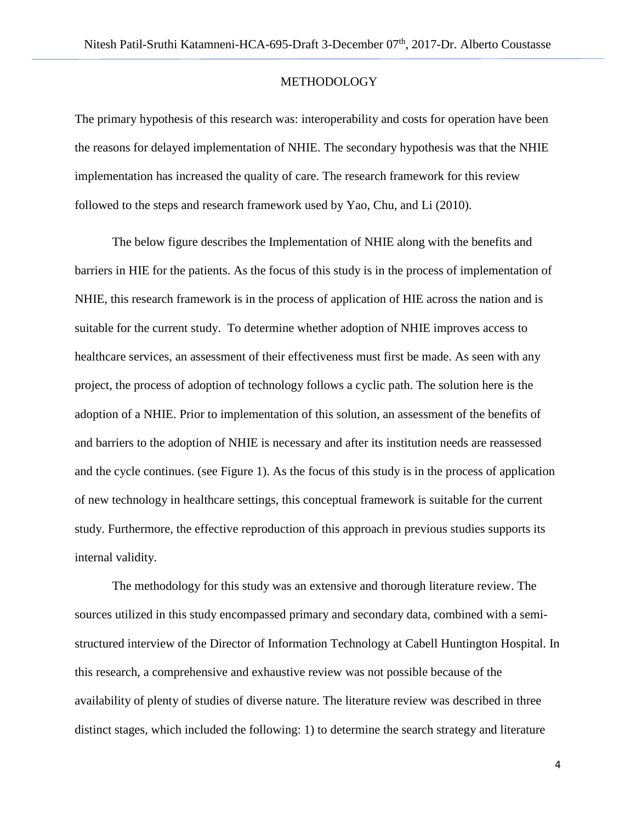#### **METHODOLOGY**

The primary hypothesis of this research was: interoperability and costs for operation have been the reasons for delayed implementation of NHIE. The secondary hypothesis was that the NHIE implementation has increased the quality of care. The research framework for this review followed to the steps and research framework used by Yao, Chu, and Li (2010).

The below figure describes the Implementation of NHIE along with the benefits and barriers in HIE for the patients. As the focus of this study is in the process of implementation of NHIE, this research framework is in the process of application of HIE across the nation and is suitable for the current study. To determine whether adoption of NHIE improves access to healthcare services, an assessment of their effectiveness must first be made. As seen with any project, the process of adoption of technology follows a cyclic path. The solution here is the adoption of a NHIE. Prior to implementation of this solution, an assessment of the benefits of and barriers to the adoption of NHIE is necessary and after its institution needs are reassessed and the cycle continues. (see Figure 1). As the focus of this study is in the process of application of new technology in healthcare settings, this conceptual framework is suitable for the current study. Furthermore, the effective reproduction of this approach in previous studies supports its internal validity.

 The methodology for this study was an extensive and thorough literature review. The sources utilized in this study encompassed primary and secondary data, combined with a semistructured interview of the Director of Information Technology at Cabell Huntington Hospital. In this research, a comprehensive and exhaustive review was not possible because of the availability of plenty of studies of diverse nature. The literature review was described in three distinct stages, which included the following: 1) to determine the search strategy and literature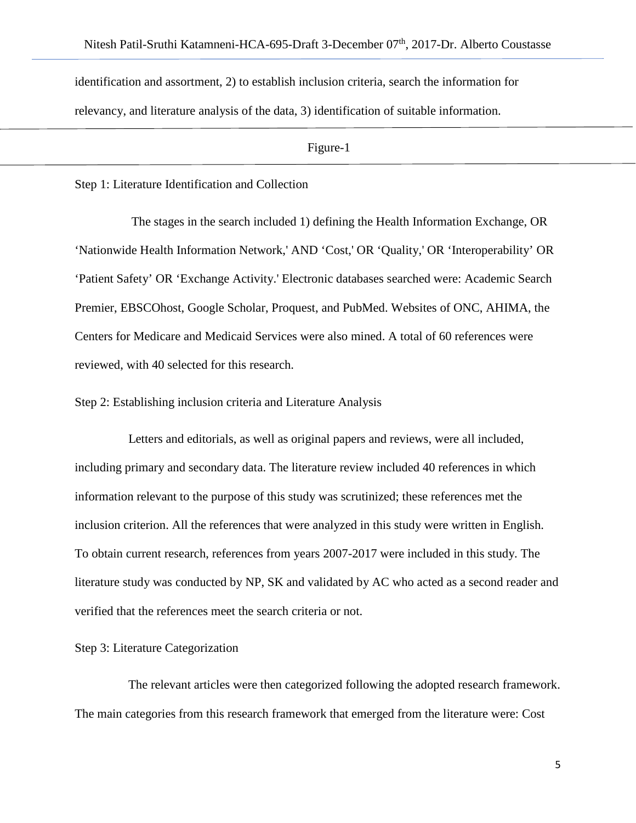identification and assortment, 2) to establish inclusion criteria, search the information for relevancy, and literature analysis of the data, 3) identification of suitable information.

Figure-1

Step 1: Literature Identification and Collection

 The stages in the search included 1) defining the Health Information Exchange, OR 'Nationwide Health Information Network,' AND 'Cost,' OR 'Quality,' OR 'Interoperability' OR 'Patient Safety' OR 'Exchange Activity.' Electronic databases searched were: Academic Search Premier, EBSCOhost, Google Scholar, Proquest, and PubMed. Websites of ONC, AHIMA, the Centers for Medicare and Medicaid Services were also mined. A total of 60 references were reviewed, with 40 selected for this research.

Step 2: Establishing inclusion criteria and Literature Analysis

 Letters and editorials, as well as original papers and reviews, were all included, including primary and secondary data. The literature review included 40 references in which information relevant to the purpose of this study was scrutinized; these references met the inclusion criterion. All the references that were analyzed in this study were written in English. To obtain current research, references from years 2007-2017 were included in this study. The literature study was conducted by NP, SK and validated by AC who acted as a second reader and verified that the references meet the search criteria or not.

Step 3: Literature Categorization

 The relevant articles were then categorized following the adopted research framework. The main categories from this research framework that emerged from the literature were: Cost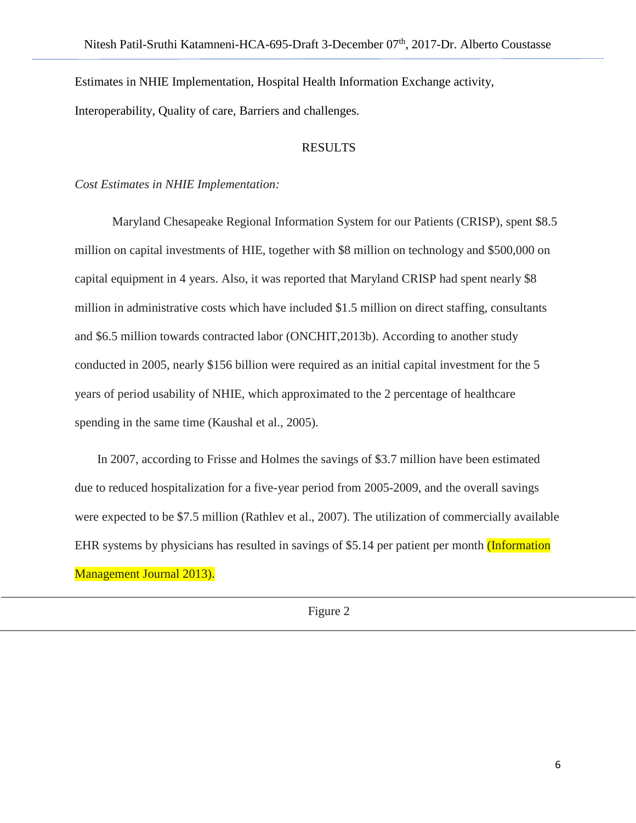Estimates in NHIE Implementation, Hospital Health Information Exchange activity, Interoperability, Quality of care, Barriers and challenges.

#### RESULTS

#### *Cost Estimates in NHIE Implementation:*

Maryland Chesapeake Regional Information System for our Patients (CRISP), spent \$8.5 million on capital investments of HIE, together with \$8 million on technology and \$500,000 on capital equipment in 4 years. Also, it was reported that Maryland CRISP had spent nearly \$8 million in administrative costs which have included \$1.5 million on direct staffing, consultants and \$6.5 million towards contracted labor (ONCHIT,2013b). According to another study conducted in 2005, nearly \$156 billion were required as an initial capital investment for the 5 years of period usability of NHIE, which approximated to the 2 percentage of healthcare spending in the same time (Kaushal et al., 2005).

In 2007, according to Frisse and Holmes the savings of \$3.7 million have been estimated due to reduced hospitalization for a five-year period from 2005-2009, and the overall savings were expected to be \$7.5 million (Rathlev et al., 2007). The utilization of commercially available EHR systems by physicians has resulted in savings of \$5.14 per patient per month *(Information*) Management Journal 2013).

Figure 2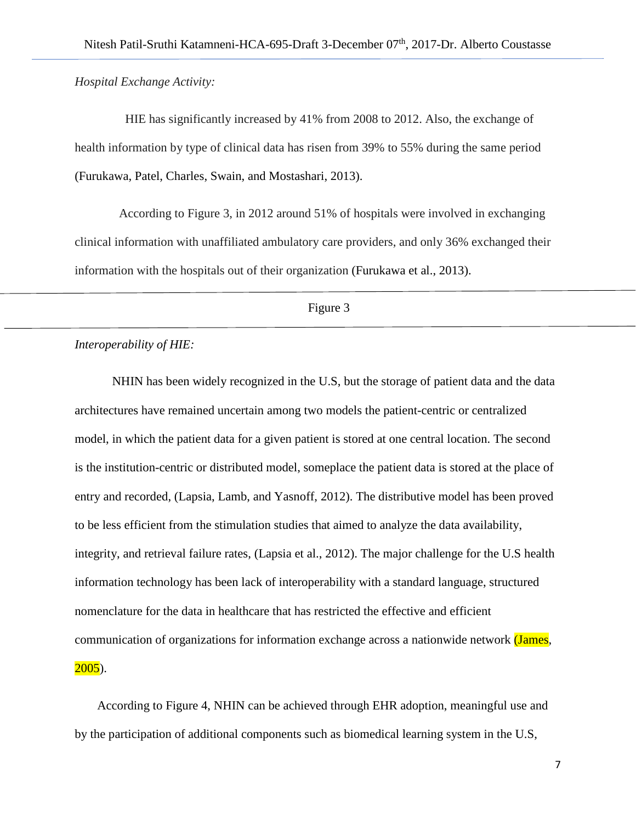*Hospital Exchange Activity:*

 HIE has significantly increased by 41% from 2008 to 2012. Also, the exchange of health information by type of clinical data has risen from 39% to 55% during the same period (Furukawa, Patel, Charles, Swain, and Mostashari, 2013).

 According to Figure 3, in 2012 around 51% of hospitals were involved in exchanging clinical information with unaffiliated ambulatory care providers, and only 36% exchanged their information with the hospitals out of their organization (Furukawa et al., 2013).

Figure 3

#### *Interoperability of HIE:*

NHIN has been widely recognized in the U.S, but the storage of patient data and the data architectures have remained uncertain among two models the patient-centric or centralized model, in which the patient data for a given patient is stored at one central location. The second is the institution-centric or distributed model, someplace the patient data is stored at the place of entry and recorded, (Lapsia, Lamb, and Yasnoff, 2012). The distributive model has been proved to be less efficient from the stimulation studies that aimed to analyze the data availability, integrity, and retrieval failure rates, (Lapsia et al., 2012). The major challenge for the U.S health information technology has been lack of interoperability with a standard language, structured nomenclature for the data in healthcare that has restricted the effective and efficient communication of organizations for information exchange across a nationwide network (James,  $2005$ ).

According to Figure 4, NHIN can be achieved through EHR adoption, meaningful use and by the participation of additional components such as biomedical learning system in the U.S,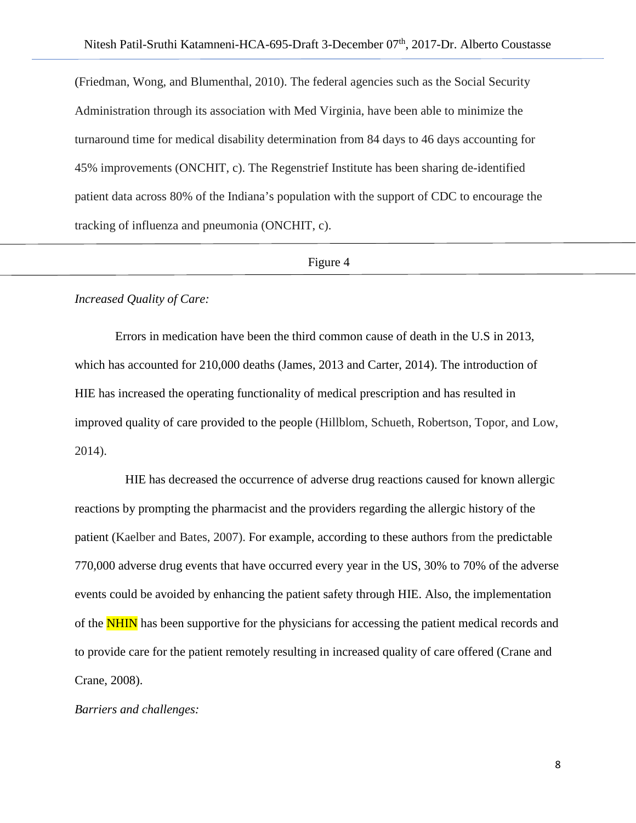(Friedman, Wong, and Blumenthal, 2010). The federal agencies such as the Social Security Administration through its association with Med Virginia, have been able to minimize the turnaround time for medical disability determination from 84 days to 46 days accounting for 45% improvements (ONCHIT, c). The Regenstrief Institute has been sharing de-identified patient data across 80% of the Indiana's population with the support of CDC to encourage the tracking of influenza and pneumonia (ONCHIT, c).

#### Figure 4

#### *Increased Quality of Care:*

Errors in medication have been the third common cause of death in the U.S in 2013, which has accounted for 210,000 deaths (James, 2013 and Carter, 2014). The introduction of HIE has increased the operating functionality of medical prescription and has resulted in improved quality of care provided to the people (Hillblom, Schueth, Robertson, Topor, and Low, 2014).

 HIE has decreased the occurrence of adverse drug reactions caused for known allergic reactions by prompting the pharmacist and the providers regarding the allergic history of the patient (Kaelber and Bates, 2007). For example, according to these authors from the predictable 770,000 adverse drug events that have occurred every year in the US, 30% to 70% of the adverse events could be avoided by enhancing the patient safety through HIE. Also, the implementation of the **NHIN** has been supportive for the physicians for accessing the patient medical records and to provide care for the patient remotely resulting in increased quality of care offered (Crane and Crane, 2008).

#### *Barriers and challenges:*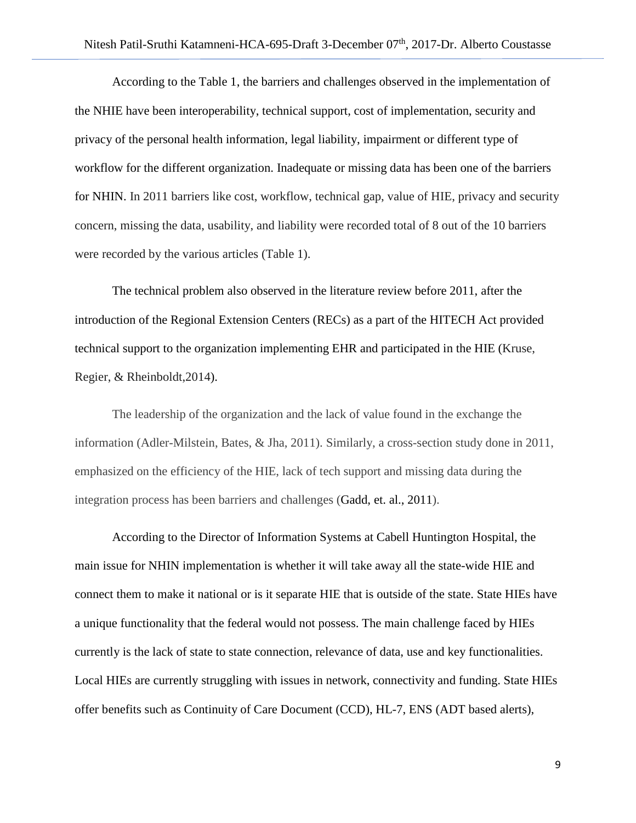According to the Table 1, the barriers and challenges observed in the implementation of the NHIE have been interoperability, technical support, cost of implementation, security and privacy of the personal health information, legal liability, impairment or different type of workflow for the different organization. Inadequate or missing data has been one of the barriers for NHIN. In 2011 barriers like cost, workflow, technical gap, value of HIE, privacy and security concern, missing the data, usability, and liability were recorded total of 8 out of the 10 barriers were recorded by the various articles (Table 1).

The technical problem also observed in the literature review before 2011, after the introduction of the Regional Extension Centers (RECs) as a part of the HITECH Act provided technical support to the organization implementing EHR and participated in the HIE (Kruse, Regier, & Rheinboldt,2014).

The leadership of the organization and the lack of value found in the exchange the information (Adler-Milstein, Bates, & Jha, 2011). Similarly, a cross-section study done in 2011, emphasized on the efficiency of the HIE, lack of tech support and missing data during the integration process has been barriers and challenges (Gadd, et. al., 2011).

According to the Director of Information Systems at Cabell Huntington Hospital, the main issue for NHIN implementation is whether it will take away all the state-wide HIE and connect them to make it national or is it separate HIE that is outside of the state. State HIEs have a unique functionality that the federal would not possess. The main challenge faced by HIEs currently is the lack of state to state connection, relevance of data, use and key functionalities. Local HIEs are currently struggling with issues in network, connectivity and funding. State HIEs offer benefits such as Continuity of Care Document (CCD), HL-7, ENS (ADT based alerts),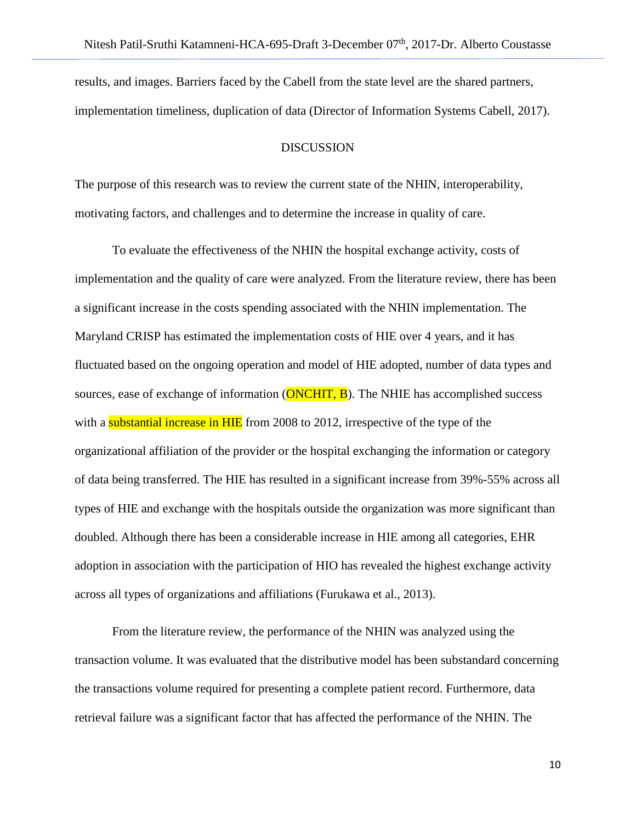results, and images. Barriers faced by the Cabell from the state level are the shared partners, implementation timeliness, duplication of data (Director of Information Systems Cabell, 2017).

#### DISCUSSION

The purpose of this research was to review the current state of the NHIN, interoperability, motivating factors, and challenges and to determine the increase in quality of care.

To evaluate the effectiveness of the NHIN the hospital exchange activity, costs of implementation and the quality of care were analyzed. From the literature review, there has been a significant increase in the costs spending associated with the NHIN implementation. The Maryland CRISP has estimated the implementation costs of HIE over 4 years, and it has fluctuated based on the ongoing operation and model of HIE adopted, number of data types and sources, ease of exchange of information  $(ONCHIT, B)$ . The NHIE has accomplished success with a substantial increase in HIE from 2008 to 2012, irrespective of the type of the organizational affiliation of the provider or the hospital exchanging the information or category of data being transferred. The HIE has resulted in a significant increase from 39%-55% across all types of HIE and exchange with the hospitals outside the organization was more significant than doubled. Although there has been a considerable increase in HIE among all categories, EHR adoption in association with the participation of HIO has revealed the highest exchange activity across all types of organizations and affiliations (Furukawa et al., 2013).

From the literature review, the performance of the NHIN was analyzed using the transaction volume. It was evaluated that the distributive model has been substandard concerning the transactions volume required for presenting a complete patient record. Furthermore, data retrieval failure was a significant factor that has affected the performance of the NHIN. The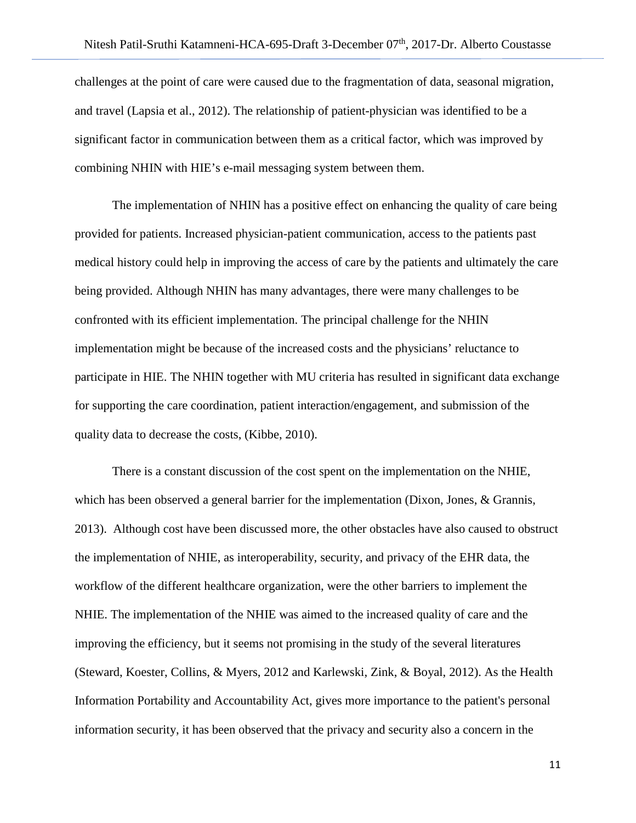challenges at the point of care were caused due to the fragmentation of data, seasonal migration, and travel (Lapsia et al., 2012). The relationship of patient-physician was identified to be a significant factor in communication between them as a critical factor, which was improved by combining NHIN with HIE's e-mail messaging system between them.

The implementation of NHIN has a positive effect on enhancing the quality of care being provided for patients. Increased physician-patient communication, access to the patients past medical history could help in improving the access of care by the patients and ultimately the care being provided. Although NHIN has many advantages, there were many challenges to be confronted with its efficient implementation. The principal challenge for the NHIN implementation might be because of the increased costs and the physicians' reluctance to participate in HIE. The NHIN together with MU criteria has resulted in significant data exchange for supporting the care coordination, patient interaction/engagement, and submission of the quality data to decrease the costs, (Kibbe, 2010).

There is a constant discussion of the cost spent on the implementation on the NHIE, which has been observed a general barrier for the implementation (Dixon, Jones, & Grannis, 2013). Although cost have been discussed more, the other obstacles have also caused to obstruct the implementation of NHIE, as interoperability, security, and privacy of the EHR data, the workflow of the different healthcare organization, were the other barriers to implement the NHIE. The implementation of the NHIE was aimed to the increased quality of care and the improving the efficiency, but it seems not promising in the study of the several literatures (Steward, Koester, Collins, & Myers, 2012 and Karlewski, Zink, & Boyal, 2012). As the Health Information Portability and Accountability Act, gives more importance to the patient's personal information security, it has been observed that the privacy and security also a concern in the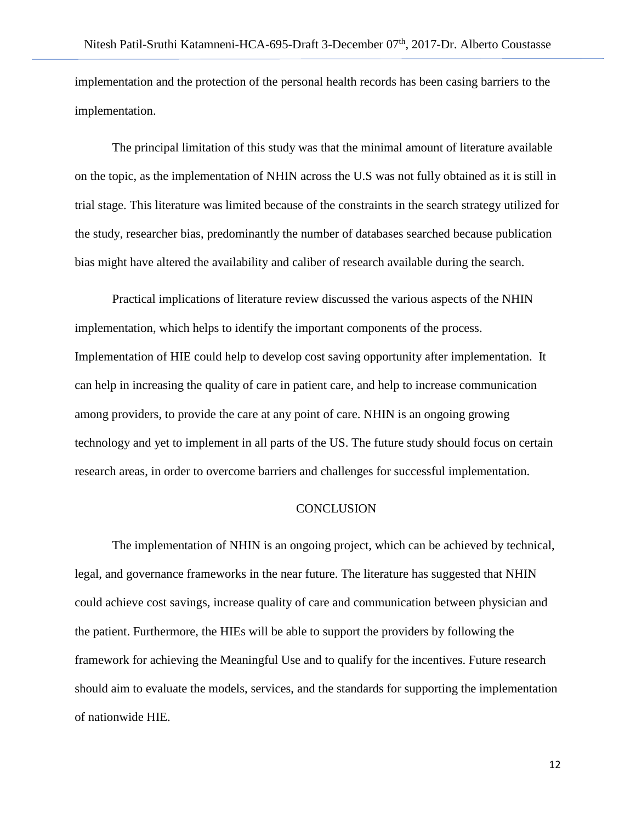implementation and the protection of the personal health records has been casing barriers to the implementation.

The principal limitation of this study was that the minimal amount of literature available on the topic, as the implementation of NHIN across the U.S was not fully obtained as it is still in trial stage. This literature was limited because of the constraints in the search strategy utilized for the study, researcher bias, predominantly the number of databases searched because publication bias might have altered the availability and caliber of research available during the search.

Practical implications of literature review discussed the various aspects of the NHIN implementation, which helps to identify the important components of the process. Implementation of HIE could help to develop cost saving opportunity after implementation. It can help in increasing the quality of care in patient care, and help to increase communication among providers, to provide the care at any point of care. NHIN is an ongoing growing technology and yet to implement in all parts of the US. The future study should focus on certain research areas, in order to overcome barriers and challenges for successful implementation.

#### **CONCLUSION**

The implementation of NHIN is an ongoing project, which can be achieved by technical, legal, and governance frameworks in the near future. The literature has suggested that NHIN could achieve cost savings, increase quality of care and communication between physician and the patient. Furthermore, the HIEs will be able to support the providers by following the framework for achieving the Meaningful Use and to qualify for the incentives. Future research should aim to evaluate the models, services, and the standards for supporting the implementation of nationwide HIE.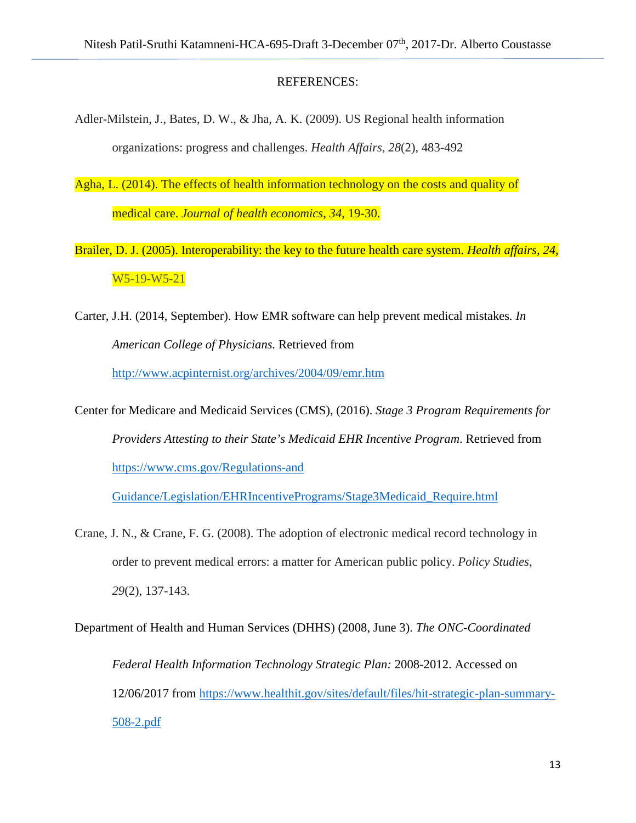#### REFERENCES:

- Adler-Milstein, J., Bates, D. W., & Jha, A. K. (2009). US Regional health information organizations: progress and challenges. *Health Affairs*, *28*(2), 483-492
- Agha, L. (2014). The effects of health information technology on the costs and quality of medical care. *Journal of health economics*, *34*, 19-30.
- Brailer, D. J. (2005). Interoperability: the key to the future health care system. *Health affairs, 24*, W5-19-W5-21
- Carter, J.H. (2014, September). How EMR software can help prevent medical mistakes*. In American College of Physicians.* Retrieved from <http://www.acpinternist.org/archives/2004/09/emr.htm>
- Center for Medicare and Medicaid Services (CMS), (2016). *Stage 3 Program Requirements for Providers Attesting to their State's Medicaid EHR Incentive Program*. Retrieved from [https://www.cms.gov/Regulations-and](https://www.cms.gov/Regulations-and%20Guidance/Legislation/EHRIncentivePrograms/Stage3Medicaid_Require.html)

[Guidance/Legislation/EHRIncentivePrograms/Stage3Medicaid\\_Require.html](https://www.cms.gov/Regulations-and%20Guidance/Legislation/EHRIncentivePrograms/Stage3Medicaid_Require.html)

Crane, J. N., & Crane, F. G. (2008). The adoption of electronic medical record technology in order to prevent medical errors: a matter for American public policy. *Policy Studies*, *29*(2), 137-143.

Department of Health and Human Services (DHHS) (2008, June 3). *The ONC-Coordinated Federal Health Information Technology Strategic Plan:* 2008-2012. Accessed on 12/06/2017 from [https://www.healthit.gov/sites/default/files/hit-strategic-plan-summary-](https://www.healthit.gov/sites/default/files/hit-strategic-plan-summary-508-2.pdf)[508-2.pdf](https://www.healthit.gov/sites/default/files/hit-strategic-plan-summary-508-2.pdf)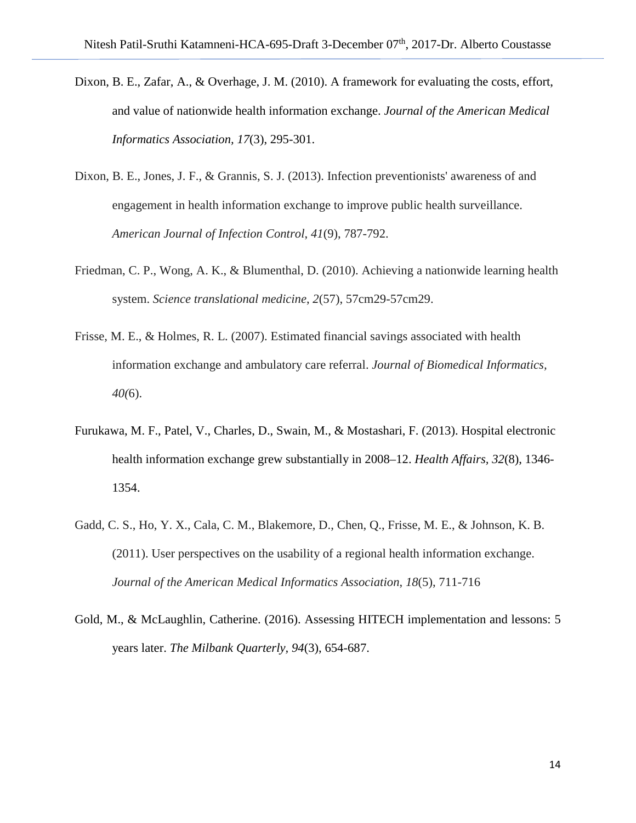- Dixon, B. E., Zafar, A., & Overhage, J. M. (2010). A framework for evaluating the costs, effort, and value of nationwide health information exchange. *Journal of the American Medical Informatics Association, 17*(3), 295-301.
- Dixon, B. E., Jones, J. F., & Grannis, S. J. (2013). Infection preventionists' awareness of and engagement in health information exchange to improve public health surveillance. *American Journal of Infection Control*, *41*(9), 787-792.
- Friedman, C. P., Wong, A. K., & Blumenthal, D. (2010). Achieving a nationwide learning health system. *Science translational medicine*, *2*(57), 57cm29-57cm29.
- Frisse, M. E., & Holmes, R. L. (2007). Estimated financial savings associated with health information exchange and ambulatory care referral. *Journal of Biomedical Informatics, 40(*6).
- Furukawa, M. F., Patel, V., Charles, D., Swain, M., & Mostashari, F. (2013). Hospital electronic health information exchange grew substantially in 2008–12. *Health Affairs, 32*(8), 1346- 1354.
- Gadd, C. S., Ho, Y. X., Cala, C. M., Blakemore, D., Chen, Q., Frisse, M. E., & Johnson, K. B. (2011). User perspectives on the usability of a regional health information exchange. *Journal of the American Medical Informatics Association*, *18*(5), 711-716
- Gold, M., & McLaughlin, Catherine. (2016). Assessing HITECH implementation and lessons: 5 years later. *The Milbank Quarterly, 94*(3), 654-687.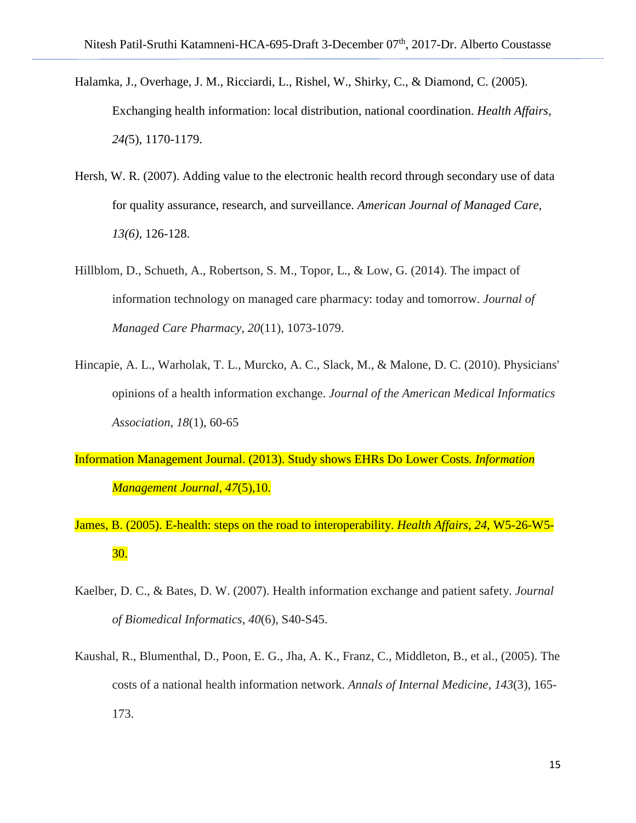- Halamka, J., Overhage, J. M., Ricciardi, L., Rishel, W., Shirky, C., & Diamond, C. (2005). Exchanging health information: local distribution, national coordination. *Health Affairs, 24(*5), 1170-1179.
- Hersh, W. R. (2007). Adding value to the electronic health record through secondary use of data for quality assurance, research, and surveillance. *American Journal of Managed Care, 13(6)*, 126-128.
- Hillblom, D., Schueth, A., Robertson, S. M., Topor, L., & Low, G. (2014). The impact of information technology on managed care pharmacy: today and tomorrow. *Journal of Managed Care Pharmacy*, *20*(11), 1073-1079.
- Hincapie, A. L., Warholak, T. L., Murcko, A. C., Slack, M., & Malone, D. C. (2010). Physicians' opinions of a health information exchange. *Journal of the American Medical Informatics Association*, *18*(1), 60-65
- Information Management Journal. (2013). Study shows EHRs Do Lower Costs*. Information Management Journal, 47*(5),10.
- James, B. (2005). E-health: steps on the road to interoperability. *Health Affairs, 24*, W5-26-W5- 30.
- Kaelber, D. C., & Bates, D. W. (2007). Health information exchange and patient safety. *Journal of Biomedical Informatics*, *40*(6), S40-S45.
- Kaushal, R., Blumenthal, D., Poon, E. G., Jha, A. K., Franz, C., Middleton, B., et al., (2005). The costs of a national health information network. *Annals of Internal Medicine*, *143*(3), 165- 173.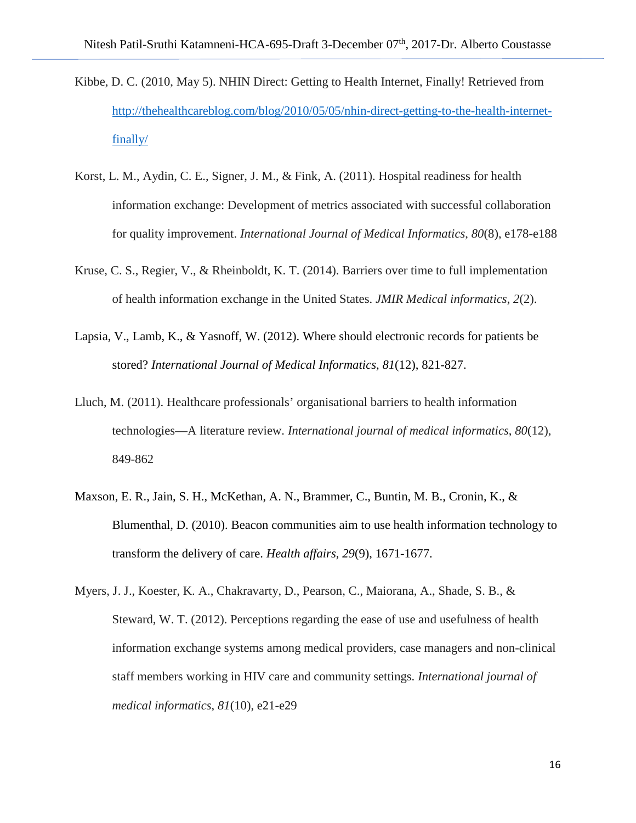- Kibbe, D. C. (2010, May 5). NHIN Direct: Getting to Health Internet, Finally! Retrieved from [http://thehealthcareblog.com/blog/2010/05/05/nhin-direct-getting-to-the-health-internet](http://thehealthcareblog.com/blog/2010/05/05/nhin-direct-getting-to-the-health-internet-finally/)[finally/](http://thehealthcareblog.com/blog/2010/05/05/nhin-direct-getting-to-the-health-internet-finally/)
- Korst, L. M., Aydin, C. E., Signer, J. M., & Fink, A. (2011). Hospital readiness for health information exchange: Development of metrics associated with successful collaboration for quality improvement. *International Journal of Medical Informatics*, *80*(8), e178-e188
- Kruse, C. S., Regier, V., & Rheinboldt, K. T. (2014). Barriers over time to full implementation of health information exchange in the United States. *JMIR Medical informatics*, *2*(2).
- Lapsia, V., Lamb, K., & Yasnoff, W. (2012). Where should electronic records for patients be stored? *International Journal of Medical Informatics, 81*(12), 821-827.
- Lluch, M. (2011). Healthcare professionals' organisational barriers to health information technologies—A literature review. *International journal of medical informatics*, *80*(12), 849-862
- Maxson, E. R., Jain, S. H., McKethan, A. N., Brammer, C., Buntin, M. B., Cronin, K., & Blumenthal, D. (2010). Beacon communities aim to use health information technology to transform the delivery of care. *Health affairs, 29*(9), 1671-1677.
- Myers, J. J., Koester, K. A., Chakravarty, D., Pearson, C., Maiorana, A., Shade, S. B., & Steward, W. T. (2012). Perceptions regarding the ease of use and usefulness of health information exchange systems among medical providers, case managers and non-clinical staff members working in HIV care and community settings. *International journal of medical informatics*, *81*(10), e21-e29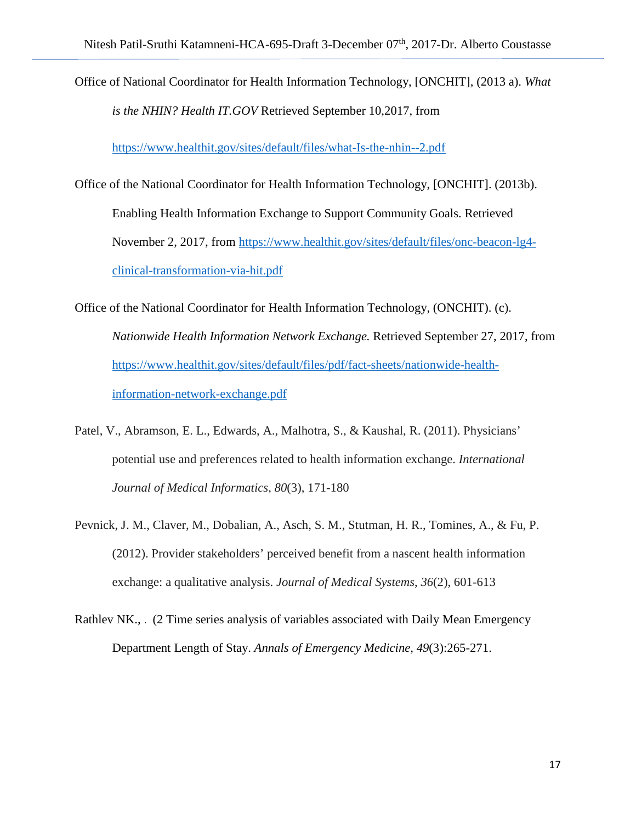Office of National Coordinator for Health Information Technology, [ONCHIT], (2013 a). *What is the NHIN? Health IT.GOV* Retrieved September 10,2017, from

<https://www.healthit.gov/sites/default/files/what-Is-the-nhin--2.pdf>

- Office of the National Coordinator for Health Information Technology, [ONCHIT]. (2013b). Enabling Health Information Exchange to Support Community Goals. Retrieved November 2, 2017, from [https://www.healthit.gov/sites/default/files/onc-beacon-lg4](https://www.healthit.gov/sites/default/files/onc-beacon-lg4-clinical-transformation-via-hit.pdf) [clinical-transformation-via-hit.pdf](https://www.healthit.gov/sites/default/files/onc-beacon-lg4-clinical-transformation-via-hit.pdf)
- Office of the National Coordinator for Health Information Technology, (ONCHIT). (c). *Nationwide Health Information Network Exchange.* Retrieved September 27, 2017, from https://www.healthit.gov/sites/default/files/pdf/fact-sheets/nationwide-healthinformation-network-exchange.pdf
- Patel, V., Abramson, E. L., Edwards, A., Malhotra, S., & Kaushal, R. (2011). Physicians' potential use and preferences related to health information exchange. *International Journal of Medical Informatics*, *80*(3), 171-180
- Pevnick, J. M., Claver, M., Dobalian, A., Asch, S. M., Stutman, H. R., Tomines, A., & Fu, P. (2012). Provider stakeholders' perceived benefit from a nascent health information exchange: a qualitative analysis. *Journal of Medical Systems*, *36*(2), 601-613
- Rathlev NK., . (2 Time series analysis of variables associated with Daily Mean Emergency Department Length of Stay. *Annals of Emergency Medicine, 49*(3):265-271.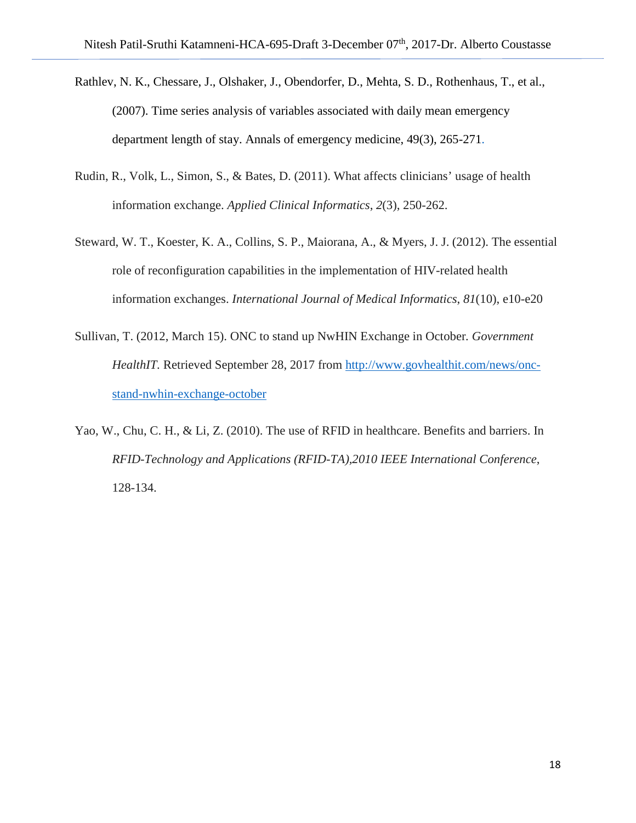- Rathlev, N. K., Chessare, J., Olshaker, J., Obendorfer, D., Mehta, S. D., Rothenhaus, T., et al., (2007). Time series analysis of variables associated with daily mean emergency department length of stay. Annals of emergency medicine, 49(3), 265-271.
- Rudin, R., Volk, L., Simon, S., & Bates, D. (2011). What affects clinicians' usage of health information exchange. *Applied Clinical Informatics*, *2*(3), 250-262.
- Steward, W. T., Koester, K. A., Collins, S. P., Maiorana, A., & Myers, J. J. (2012). The essential role of reconfiguration capabilities in the implementation of HIV-related health information exchanges. *International Journal of Medical Informatics*, *81*(10), e10-e20
- Sullivan, T. (2012, March 15). ONC to stand up NwHIN Exchange in October*. Government HealthIT.* Retrieved September 28, 2017 from [http://www.govhealthit.com/news/onc](http://www.govhealthit.com/news/onc-stand-nwhin-exchange-october)[stand-nwhin-exchange-october](http://www.govhealthit.com/news/onc-stand-nwhin-exchange-october)
- Yao, W., Chu, C. H., & Li, Z. (2010). The use of RFID in healthcare. Benefits and barriers. In *RFID-Technology and Applications (RFID-TA),2010 IEEE International Conference*, 128-134.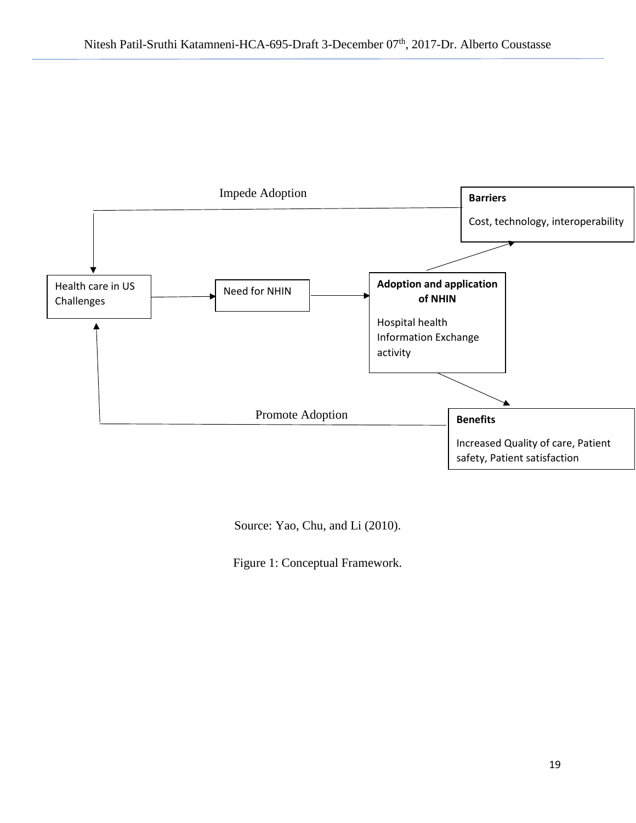

Source: Yao, Chu, and Li (2010).

Figure 1: Conceptual Framework.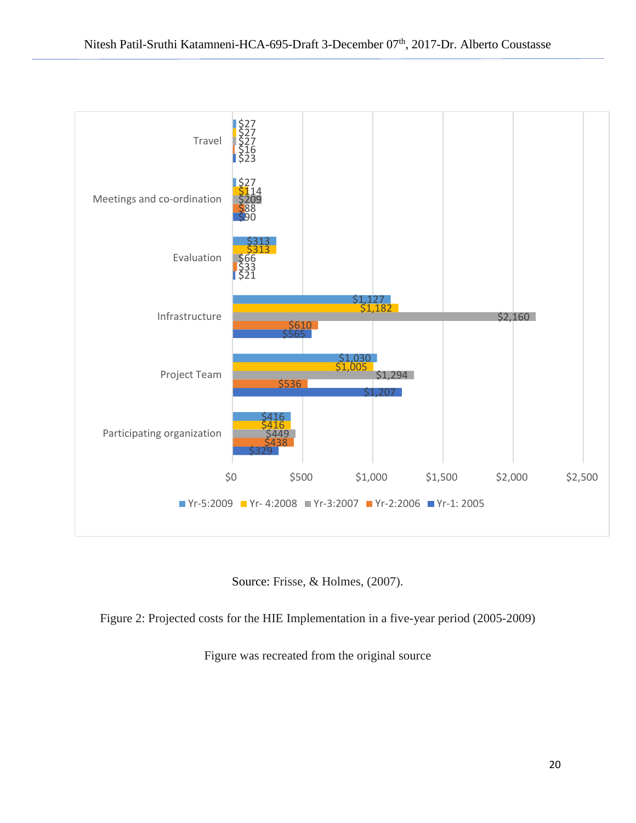

Source: Frisse, & Holmes, (2007).

Figure 2: Projected costs for the HIE Implementation in a five-year period (2005-2009)

Figure was recreated from the original source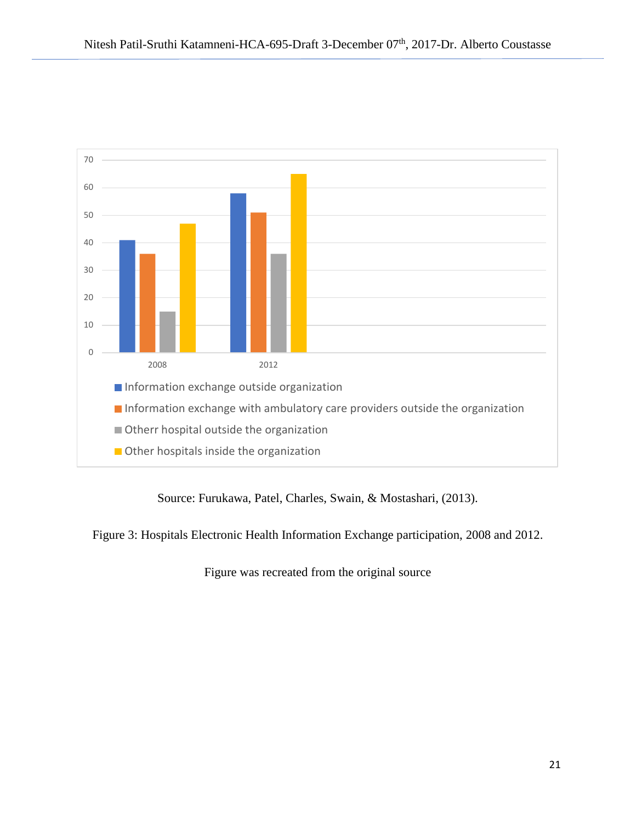

Source: Furukawa, Patel, Charles, Swain, & Mostashari, (2013).

Figure 3: Hospitals Electronic Health Information Exchange participation, 2008 and 2012.

Figure was recreated from the original source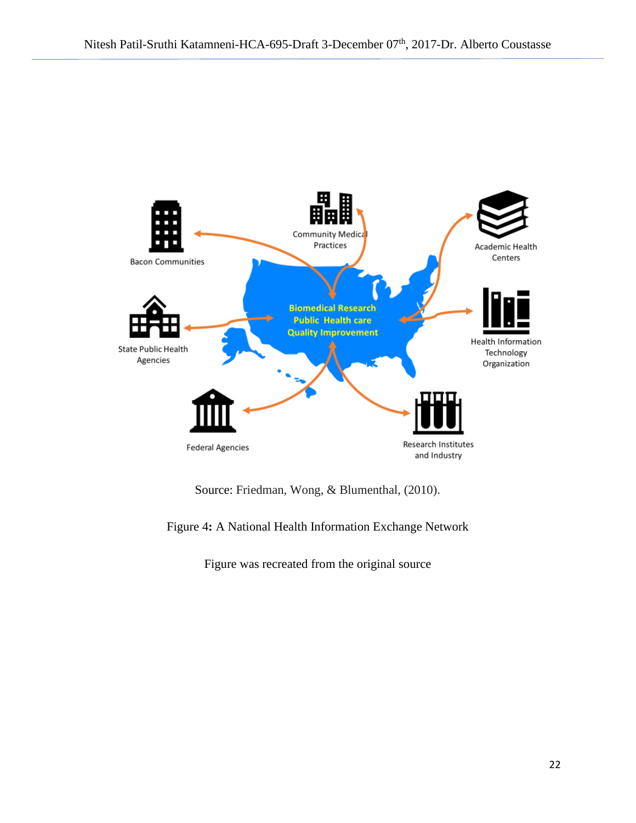

Source: Friedman, Wong, & Blumenthal, (2010).

Figure 4**:** A National Health Information Exchange Network

Figure was recreated from the original source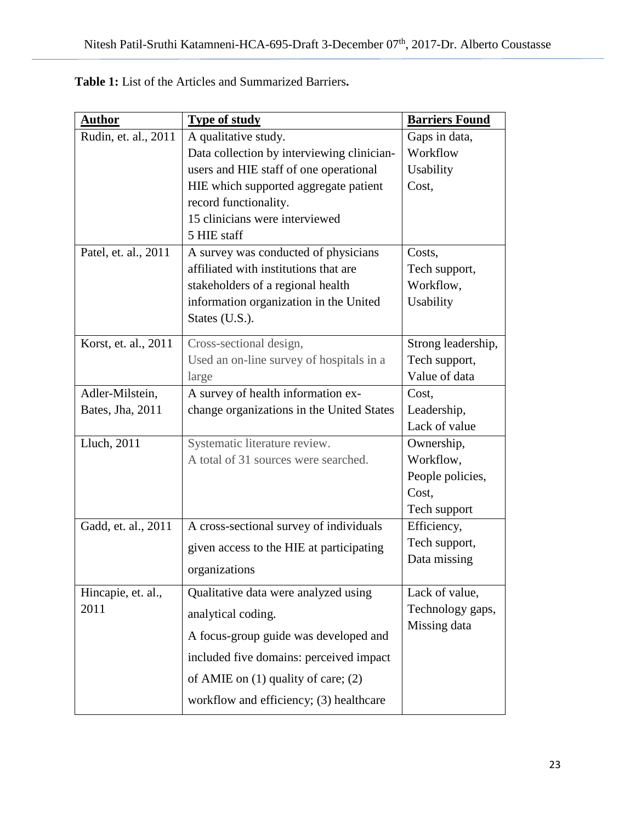| <b>Author</b>        | <b>Type of study</b>                       | <b>Barriers Found</b> |
|----------------------|--------------------------------------------|-----------------------|
| Rudin, et. al., 2011 | A qualitative study.                       | Gaps in data,         |
|                      | Data collection by interviewing clinician- | Workflow              |
|                      | users and HIE staff of one operational     | <b>Usability</b>      |
|                      | HIE which supported aggregate patient      | Cost,                 |
|                      | record functionality.                      |                       |
|                      | 15 clinicians were interviewed             |                       |
|                      | 5 HIE staff                                |                       |
| Patel, et. al., 2011 | A survey was conducted of physicians       | Costs,                |
|                      | affiliated with institutions that are      | Tech support,         |
|                      | stakeholders of a regional health          | Workflow,             |
|                      | information organization in the United     | Usability             |
|                      | States (U.S.).                             |                       |
| Korst, et. al., 2011 | Cross-sectional design,                    | Strong leadership,    |
|                      | Used an on-line survey of hospitals in a   | Tech support,         |
|                      | large                                      | Value of data         |
| Adler-Milstein,      | A survey of health information ex-         | Cost,                 |
| Bates, Jha, 2011     | change organizations in the United States  | Leadership,           |
|                      |                                            | Lack of value         |
| Lluch, 2011          | Systematic literature review.              | Ownership,            |
|                      | A total of 31 sources were searched.       | Workflow,             |
|                      |                                            | People policies,      |
|                      |                                            | Cost,                 |
|                      |                                            | Tech support          |
| Gadd, et. al., 2011  | A cross-sectional survey of individuals    | Efficiency,           |
|                      | given access to the HIE at participating   | Tech support,         |
|                      | organizations                              | Data missing          |
|                      |                                            |                       |
| Hincapie, et. al.,   | Qualitative data were analyzed using       | Lack of value,        |
| 2011                 | analytical coding.                         | Technology gaps,      |
|                      | A focus-group guide was developed and      | Missing data          |
|                      | included five domains: perceived impact    |                       |
|                      | of AMIE on $(1)$ quality of care; $(2)$    |                       |
|                      |                                            |                       |
|                      | workflow and efficiency; (3) healthcare    |                       |

**Table 1:** List of the Articles and Summarized Barriers**.**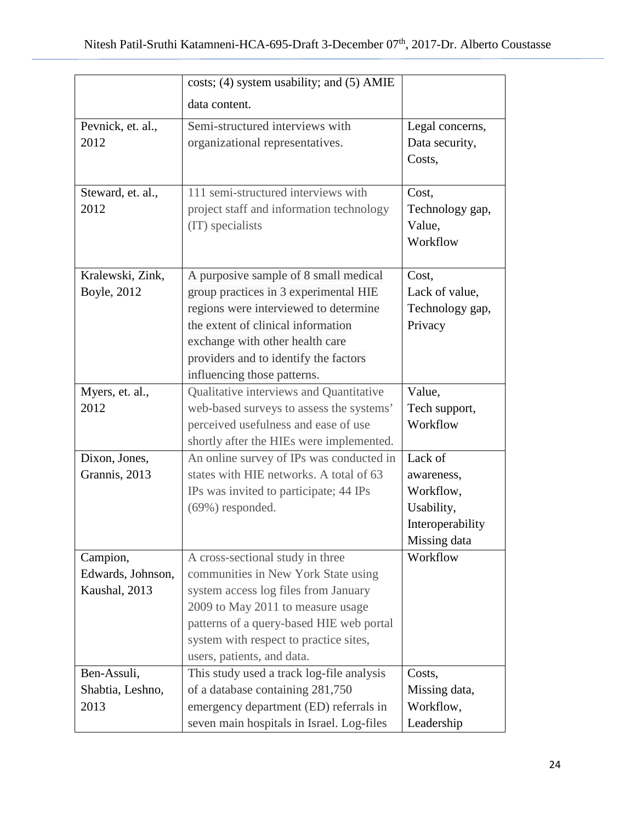|                   | costs; (4) system usability; and (5) AMIE |                  |
|-------------------|-------------------------------------------|------------------|
|                   | data content.                             |                  |
| Pevnick, et. al., | Semi-structured interviews with           | Legal concerns,  |
| 2012              | organizational representatives.           | Data security,   |
|                   |                                           | Costs,           |
|                   |                                           |                  |
| Steward, et. al., | 111 semi-structured interviews with       | Cost,            |
| 2012              | project staff and information technology  | Technology gap,  |
|                   | (IT) specialists                          | Value,           |
|                   |                                           | Workflow         |
|                   |                                           |                  |
| Kralewski, Zink,  | A purposive sample of 8 small medical     | Cost,            |
| Boyle, 2012       | group practices in 3 experimental HIE     | Lack of value,   |
|                   | regions were interviewed to determine     | Technology gap,  |
|                   | the extent of clinical information        | Privacy          |
|                   | exchange with other health care           |                  |
|                   | providers and to identify the factors     |                  |
|                   | influencing those patterns.               |                  |
| Myers, et. al.,   | Qualitative interviews and Quantitative   | Value,           |
| 2012              | web-based surveys to assess the systems'  | Tech support,    |
|                   | perceived usefulness and ease of use      | Workflow         |
|                   | shortly after the HIEs were implemented.  |                  |
| Dixon, Jones,     | An online survey of IPs was conducted in  | Lack of          |
| Grannis, 2013     | states with HIE networks. A total of 63   | awareness,       |
|                   | IPs was invited to participate; 44 IPs    | Workflow.        |
|                   | (69%) responded.                          | Usability,       |
|                   |                                           | Interoperability |
|                   |                                           | Missing data     |
| Campion,          | A cross-sectional study in three          | Workflow         |
| Edwards, Johnson, | communities in New York State using       |                  |
| Kaushal, 2013     | system access log files from January      |                  |
|                   | 2009 to May 2011 to measure usage         |                  |
|                   | patterns of a query-based HIE web portal  |                  |
|                   | system with respect to practice sites,    |                  |
|                   | users, patients, and data.                |                  |
| Ben-Assuli,       | This study used a track log-file analysis | Costs,           |
| Shabtia, Leshno,  | of a database containing 281,750          | Missing data,    |
| 2013              | emergency department (ED) referrals in    | Workflow,        |
|                   | seven main hospitals in Israel. Log-files | Leadership       |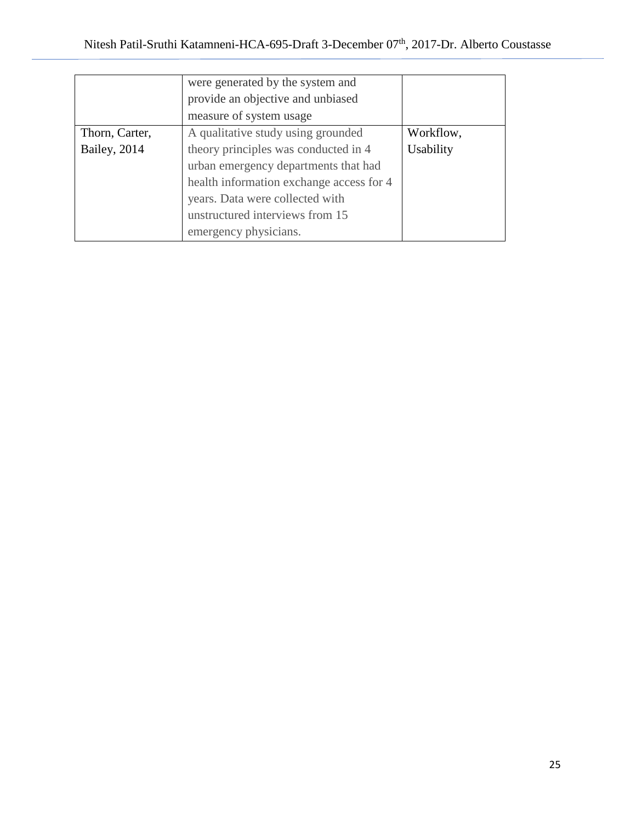|                | were generated by the system and<br>provide an objective and unbiased<br>measure of system usage |           |
|----------------|--------------------------------------------------------------------------------------------------|-----------|
| Thorn, Carter, | A qualitative study using grounded                                                               | Workflow, |
| Bailey, 2014   | theory principles was conducted in 4                                                             | Usability |
|                | urban emergency departments that had                                                             |           |
|                | health information exchange access for 4                                                         |           |
|                | years. Data were collected with                                                                  |           |
|                | unstructured interviews from 15                                                                  |           |
|                | emergency physicians.                                                                            |           |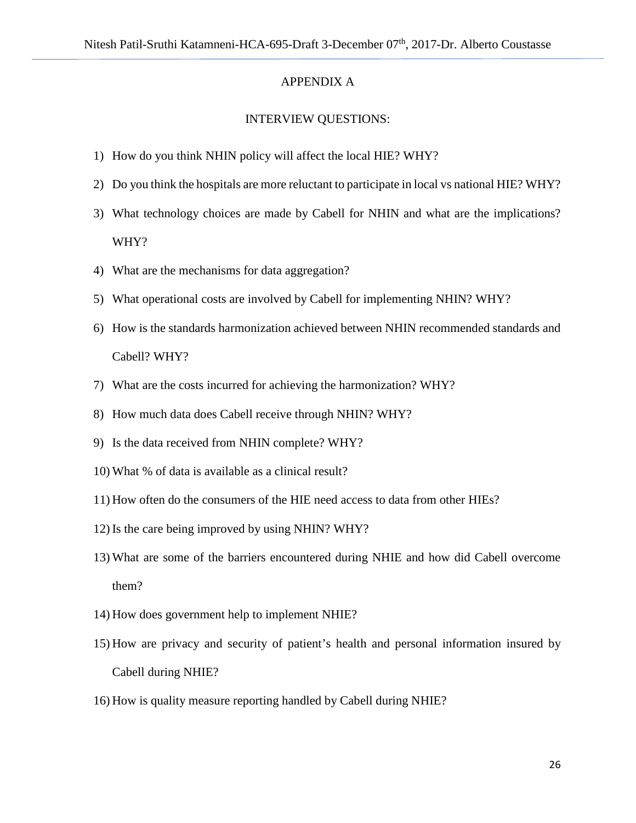#### APPENDIX A

#### INTERVIEW QUESTIONS:

- 1) How do you think NHIN policy will affect the local HIE? WHY?
- 2) Do you think the hospitals are more reluctant to participate in local vs national HIE? WHY?
- 3) What technology choices are made by Cabell for NHIN and what are the implications? WHY?
- 4) What are the mechanisms for data aggregation?
- 5) What operational costs are involved by Cabell for implementing NHIN? WHY?
- 6) How is the standards harmonization achieved between NHIN recommended standards and Cabell? WHY?
- 7) What are the costs incurred for achieving the harmonization? WHY?
- 8) How much data does Cabell receive through NHIN? WHY?
- 9) Is the data received from NHIN complete? WHY?
- 10) What % of data is available as a clinical result?
- 11) How often do the consumers of the HIE need access to data from other HIEs?
- 12) Is the care being improved by using NHIN? WHY?
- 13) What are some of the barriers encountered during NHIE and how did Cabell overcome them?
- 14) How does government help to implement NHIE?
- 15) How are privacy and security of patient's health and personal information insured by Cabell during NHIE?
- 16) How is quality measure reporting handled by Cabell during NHIE?